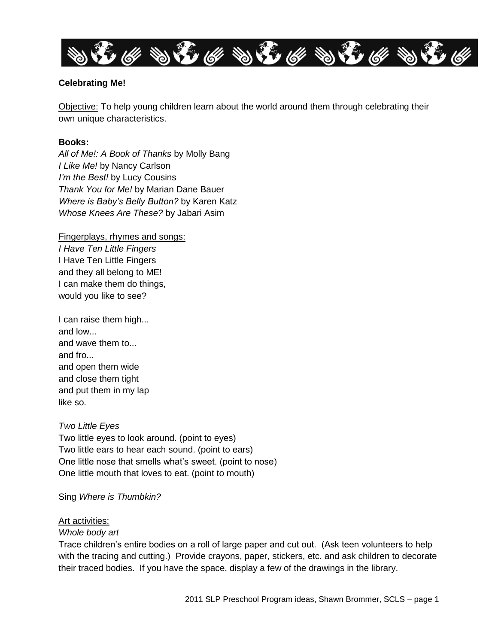

### **Celebrating Me!**

Objective: To help young children learn about the world around them through celebrating their own unique characteristics.

### **Books:**

*All of Me!: A Book of Thanks* by Molly Bang *I Like Me!* by Nancy Carlson *I'm the Best!* by Lucy Cousins *Thank You for Me!* by Marian Dane Bauer *Where is Baby's Belly Button?* by Karen Katz *Whose Knees Are These?* by Jabari Asim

### Fingerplays, rhymes and songs:

*I Have Ten Little Fingers* I Have Ten Little Fingers and they all belong to ME! I can make them do things, would you like to see?

I can raise them high... and low... and wave them to... and fro... and open them wide and close them tight and put them in my lap like so.

### *Two Little Eyes*

Two little eyes to look around. (point to eyes) Two little ears to hear each sound. (point to ears) One little nose that smells what's sweet. (point to nose) One little mouth that loves to eat. (point to mouth)

Sing *Where is Thumbkin?*

### Art activities:

### *Whole body art*

Trace children's entire bodies on a roll of large paper and cut out. (Ask teen volunteers to help with the tracing and cutting.) Provide crayons, paper, stickers, etc. and ask children to decorate their traced bodies. If you have the space, display a few of the drawings in the library.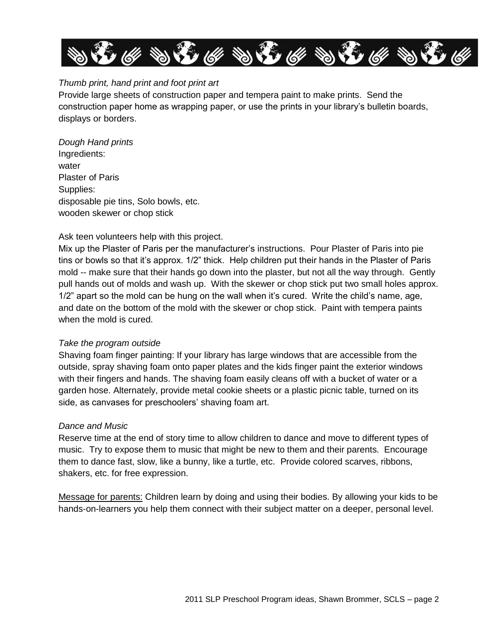

## *Thumb print, hand print and foot print art*

Provide large sheets of construction paper and tempera paint to make prints. Send the construction paper home as wrapping paper, or use the prints in your library's bulletin boards, displays or borders.

*Dough Hand prints*  Ingredients: water Plaster of Paris Supplies: disposable pie tins, Solo bowls, etc. wooden skewer or chop stick

## Ask teen volunteers help with this project.

Mix up the Plaster of Paris per the manufacturer's instructions. Pour Plaster of Paris into pie tins or bowls so that it's approx. 1/2" thick. Help children put their hands in the Plaster of Paris mold -- make sure that their hands go down into the plaster, but not all the way through. Gently pull hands out of molds and wash up. With the skewer or chop stick put two small holes approx. 1/2" apart so the mold can be hung on the wall when it's cured. Write the child's name, age, and date on the bottom of the mold with the skewer or chop stick. Paint with tempera paints when the mold is cured.

### *Take the program outside*

Shaving foam finger painting: If your library has large windows that are accessible from the outside, spray shaving foam onto paper plates and the kids finger paint the exterior windows with their fingers and hands. The shaving foam easily cleans off with a bucket of water or a garden hose. Alternately, provide metal cookie sheets or a plastic picnic table, turned on its side, as canvases for preschoolers' shaving foam art.

### *Dance and Music*

Reserve time at the end of story time to allow children to dance and move to different types of music. Try to expose them to music that might be new to them and their parents. Encourage them to dance fast, slow, like a bunny, like a turtle, etc. Provide colored scarves, ribbons, shakers, etc. for free expression.

Message for parents: Children learn by doing and using their bodies. By allowing your kids to be hands-on-learners you help them connect with their subject matter on a deeper, personal level.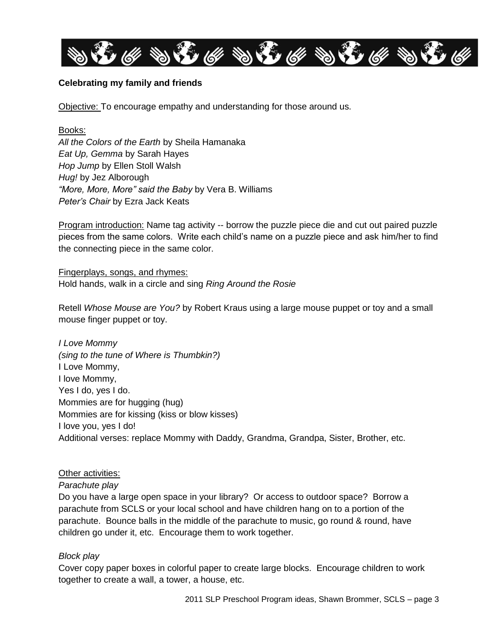

## **Celebrating my family and friends**

Objective: To encourage empathy and understanding for those around us.

Books: *All the Colors of the Earth* by Sheila Hamanaka *Eat Up, Gemma* by Sarah Hayes *Hop Jump* by Ellen Stoll Walsh *Hug!* by Jez Alborough *"More, More, More" said the Baby* by Vera B. Williams *Peter's Chair* by Ezra Jack Keats

Program introduction: Name tag activity -- borrow the puzzle piece die and cut out paired puzzle pieces from the same colors. Write each child's name on a puzzle piece and ask him/her to find the connecting piece in the same color.

Fingerplays, songs, and rhymes: Hold hands, walk in a circle and sing *Ring Around the Rosie*

Retell *Whose Mouse are You?* by Robert Kraus using a large mouse puppet or toy and a small mouse finger puppet or toy.

*I Love Mommy (sing to the tune of Where is Thumbkin?)* I Love Mommy, I love Mommy, Yes I do, yes I do. Mommies are for hugging (hug) Mommies are for kissing (kiss or blow kisses) I love you, yes I do! Additional verses: replace Mommy with Daddy, Grandma, Grandpa, Sister, Brother, etc.

## Other activities:

### *Parachute play*

Do you have a large open space in your library? Or access to outdoor space? Borrow a parachute from SCLS or your local school and have children hang on to a portion of the parachute. Bounce balls in the middle of the parachute to music, go round & round, have children go under it, etc. Encourage them to work together.

## *Block play*

Cover copy paper boxes in colorful paper to create large blocks. Encourage children to work together to create a wall, a tower, a house, etc.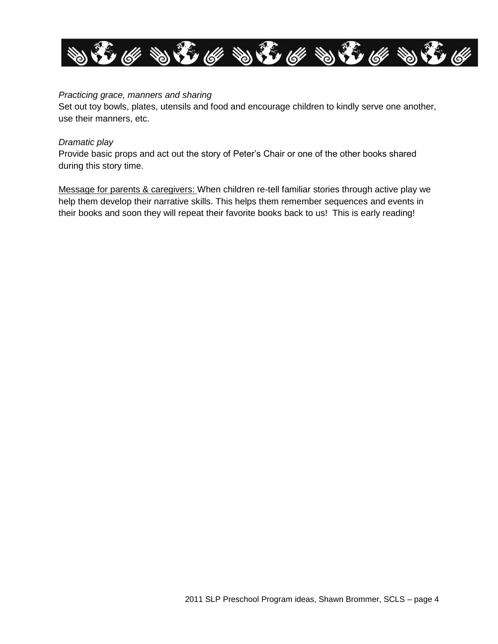

### *Practicing grace, manners and sharing*

Set out toy bowls, plates, utensils and food and encourage children to kindly serve one another, use their manners, etc.

### *Dramatic play*

Provide basic props and act out the story of Peter's Chair or one of the other books shared during this story time.

Message for parents & caregivers: When children re-tell familiar stories through active play we help them develop their narrative skills. This helps them remember sequences and events in their books and soon they will repeat their favorite books back to us! This is early reading!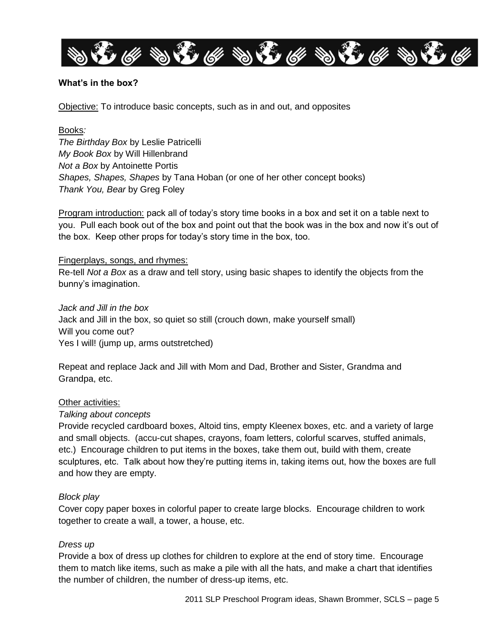

## **What's in the box?**

Objective: To introduce basic concepts, such as in and out, and opposites

Books*: The Birthday Box* by Leslie Patricelli *My Book Box* by Will Hillenbrand *Not a Box* by Antoinette Portis *Shapes, Shapes, Shapes* by Tana Hoban (or one of her other concept books) *Thank You, Bear* by Greg Foley

Program introduction: pack all of today's story time books in a box and set it on a table next to you. Pull each book out of the box and point out that the book was in the box and now it's out of the box. Keep other props for today's story time in the box, too.

### Fingerplays, songs, and rhymes:

Re-tell *Not a Box* as a draw and tell story, using basic shapes to identify the objects from the bunny's imagination.

*Jack and Jill in the box* Jack and Jill in the box, so quiet so still (crouch down, make yourself small) Will you come out? Yes I will! (jump up, arms outstretched)

Repeat and replace Jack and Jill with Mom and Dad, Brother and Sister, Grandma and Grandpa, etc.

### Other activities:

### *Talking about concepts*

Provide recycled cardboard boxes, Altoid tins, empty Kleenex boxes, etc. and a variety of large and small objects. (accu-cut shapes, crayons, foam letters, colorful scarves, stuffed animals, etc.) Encourage children to put items in the boxes, take them out, build with them, create sculptures, etc. Talk about how they're putting items in, taking items out, how the boxes are full and how they are empty.

### *Block play*

Cover copy paper boxes in colorful paper to create large blocks. Encourage children to work together to create a wall, a tower, a house, etc.

### *Dress up*

Provide a box of dress up clothes for children to explore at the end of story time. Encourage them to match like items, such as make a pile with all the hats, and make a chart that identifies the number of children, the number of dress-up items, etc.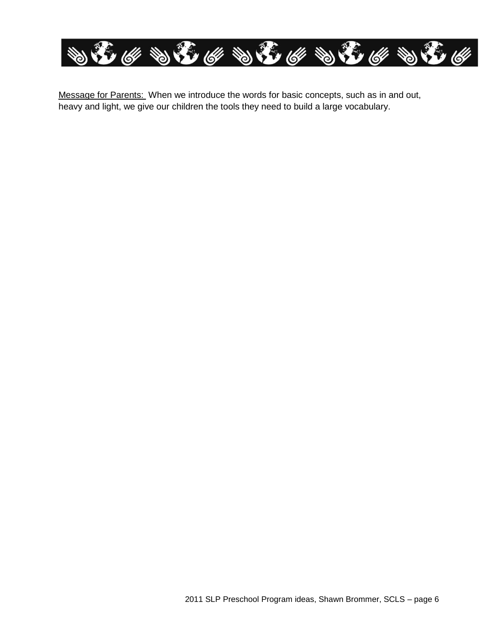

Message for Parents: When we introduce the words for basic concepts, such as in and out, heavy and light, we give our children the tools they need to build a large vocabulary.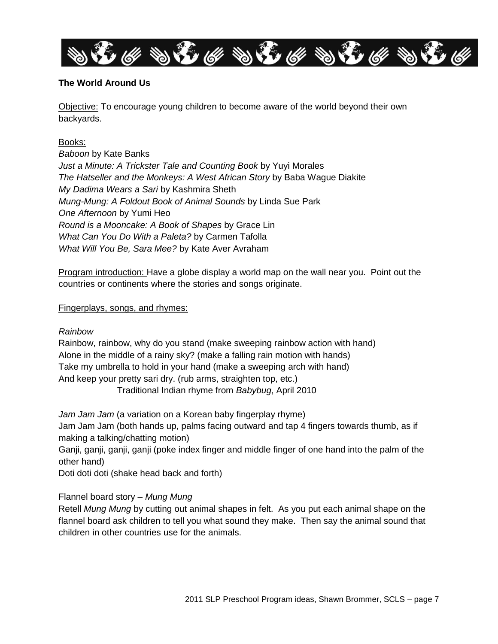

## **The World Around Us**

Objective: To encourage young children to become aware of the world beyond their own backyards.

## Books:

*Baboon* by Kate Banks *Just a Minute: A Trickster Tale and Counting Book* by Yuyi Morales *The Hatseller and the Monkeys: A West African Story* by Baba Wague Diakite *My Dadima Wears a Sari* by Kashmira Sheth *Mung-Mung: A Foldout Book of Animal Sounds* by Linda Sue Park *One Afternoon* by Yumi Heo *Round is a Mooncake: A Book of Shapes* by Grace Lin *What Can You Do With a Paleta?* by Carmen Tafolla *What Will You Be, Sara Mee?* by Kate Aver Avraham

Program introduction: Have a globe display a world map on the wall near you. Point out the countries or continents where the stories and songs originate.

### Fingerplays, songs, and rhymes:

## *Rainbow*

Rainbow, rainbow, why do you stand (make sweeping rainbow action with hand) Alone in the middle of a rainy sky? (make a falling rain motion with hands) Take my umbrella to hold in your hand (make a sweeping arch with hand) And keep your pretty sari dry. (rub arms, straighten top, etc.)

Traditional Indian rhyme from *Babybug*, April 2010

*Jam Jam Jam* (a variation on a Korean baby fingerplay rhyme) Jam Jam Jam (both hands up, palms facing outward and tap 4 fingers towards thumb, as if making a talking/chatting motion)

Ganji, ganji, ganji, ganji (poke index finger and middle finger of one hand into the palm of the other hand)

Doti doti doti (shake head back and forth)

## Flannel board story – *Mung Mung*

Retell *Mung Mung* by cutting out animal shapes in felt. As you put each animal shape on the flannel board ask children to tell you what sound they make. Then say the animal sound that children in other countries use for the animals.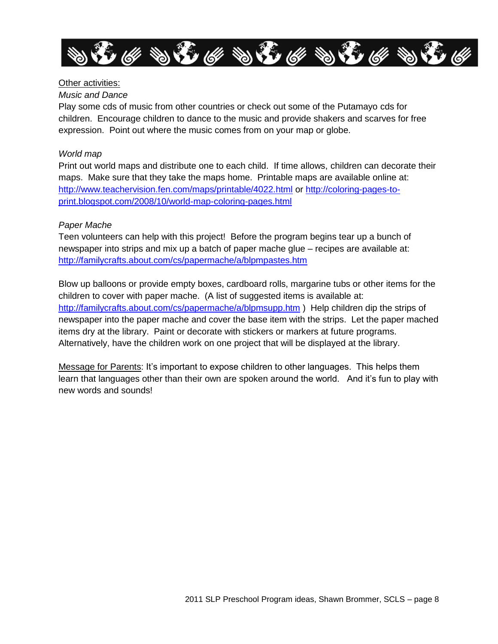

## Other activities:

### *Music and Dance*

Play some cds of music from other countries or check out some of the Putamayo cds for children. Encourage children to dance to the music and provide shakers and scarves for free expression. Point out where the music comes from on your map or globe.

## *World map*

Print out world maps and distribute one to each child. If time allows, children can decorate their maps. Make sure that they take the maps home. Printable maps are available online at: <http://www.teachervision.fen.com/maps/printable/4022.html> or [http://coloring-pages-to](http://coloring-pages-to-print.blogspot.com/2008/10/world-map-coloring-pages.html)[print.blogspot.com/2008/10/world-map-coloring-pages.html](http://coloring-pages-to-print.blogspot.com/2008/10/world-map-coloring-pages.html)

## *Paper Mache*

Teen volunteers can help with this project! Before the program begins tear up a bunch of newspaper into strips and mix up a batch of paper mache glue – recipes are available at: <http://familycrafts.about.com/cs/papermache/a/blpmpastes.htm>

Blow up balloons or provide empty boxes, cardboard rolls, margarine tubs or other items for the children to cover with paper mache. (A list of suggested items is available at: <http://familycrafts.about.com/cs/papermache/a/blpmsupp.htm> ) Help children dip the strips of newspaper into the paper mache and cover the base item with the strips. Let the paper mached items dry at the library. Paint or decorate with stickers or markers at future programs. Alternatively, have the children work on one project that will be displayed at the library.

Message for Parents: It's important to expose children to other languages. This helps them learn that languages other than their own are spoken around the world. And it's fun to play with new words and sounds!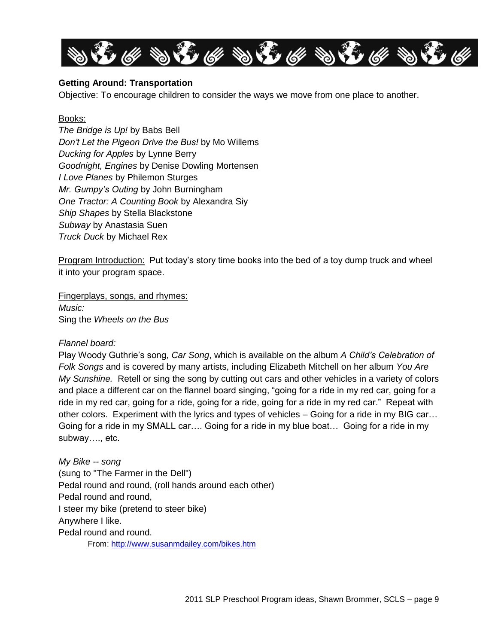

## **Getting Around: Transportation**

Objective: To encourage children to consider the ways we move from one place to another.

### Books:

*The Bridge is Up!* by Babs Bell *Don't Let the Pigeon Drive the Bus!* by Mo Willems *Ducking for Apples* by Lynne Berry *Goodnight, Engines* by Denise Dowling Mortensen *I Love Planes* by Philemon Sturges *Mr. Gumpy's Outing* by John Burningham *One Tractor: A Counting Book* by Alexandra Siy *Ship Shapes* by Stella Blackstone *Subway* by Anastasia Suen *Truck Duck* by Michael Rex

Program Introduction: Put today's story time books into the bed of a toy dump truck and wheel it into your program space.

Fingerplays, songs, and rhymes: *Music:*  Sing the *Wheels on the Bus*

### *Flannel board:*

Play Woody Guthrie's song, *Car Song*, which is available on the album *A Child's Celebration of Folk Songs* and is covered by many artists, including Elizabeth Mitchell on her album *You Are My Sunshine.* Retell or sing the song by cutting out cars and other vehicles in a variety of colors and place a different car on the flannel board singing, "going for a ride in my red car, going for a ride in my red car, going for a ride, going for a ride, going for a ride in my red car." Repeat with other colors. Experiment with the lyrics and types of vehicles – Going for a ride in my BIG car… Going for a ride in my SMALL car…. Going for a ride in my blue boat… Going for a ride in my subway…., etc.

*My Bike -- song* (sung to "The Farmer in the Dell") Pedal round and round, (roll hands around each other) Pedal round and round, I steer my bike (pretend to steer bike) Anywhere I like. Pedal round and round. From:<http://www.susanmdailey.com/bikes.htm>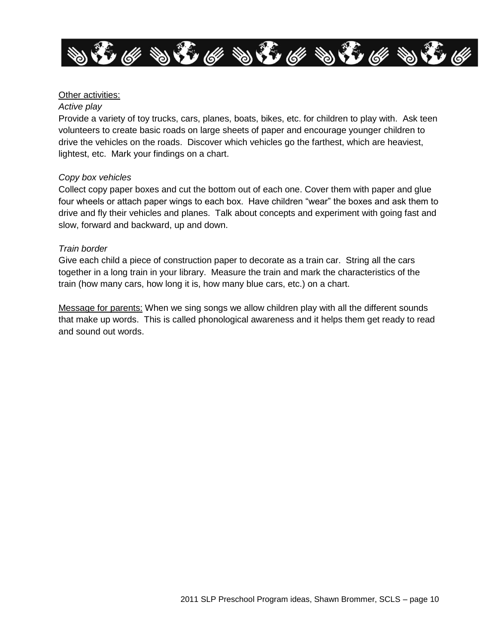

### Other activities:

#### *Active play*

Provide a variety of toy trucks, cars, planes, boats, bikes, etc. for children to play with. Ask teen volunteers to create basic roads on large sheets of paper and encourage younger children to drive the vehicles on the roads. Discover which vehicles go the farthest, which are heaviest, lightest, etc. Mark your findings on a chart.

### *Copy box vehicles*

Collect copy paper boxes and cut the bottom out of each one. Cover them with paper and glue four wheels or attach paper wings to each box. Have children "wear" the boxes and ask them to drive and fly their vehicles and planes. Talk about concepts and experiment with going fast and slow, forward and backward, up and down.

### *Train border*

Give each child a piece of construction paper to decorate as a train car. String all the cars together in a long train in your library. Measure the train and mark the characteristics of the train (how many cars, how long it is, how many blue cars, etc.) on a chart.

Message for parents: When we sing songs we allow children play with all the different sounds that make up words. This is called phonological awareness and it helps them get ready to read and sound out words.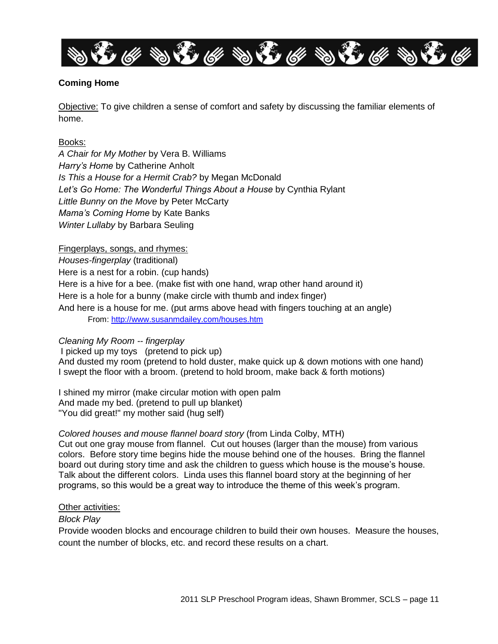

## **Coming Home**

Objective: To give children a sense of comfort and safety by discussing the familiar elements of home.

### Books:

*A Chair for My Mother* by Vera B. Williams *Harry's Home* by Catherine Anholt *Is This a House for a Hermit Crab?* by Megan McDonald *Let's Go Home: The Wonderful Things About a House* by Cynthia Rylant *Little Bunny on the Move* by Peter McCarty *Mama's Coming Home* by Kate Banks *Winter Lullaby* by Barbara Seuling

### Fingerplays, songs, and rhymes:

*Houses-fingerplay* (traditional) Here is a nest for a robin. (cup hands) Here is a hive for a bee. (make fist with one hand, wrap other hand around it) Here is a hole for a bunny (make circle with thumb and index finger) And here is a house for me. (put arms above head with fingers touching at an angle) From:<http://www.susanmdailey.com/houses.htm>

### *Cleaning My Room -- fingerplay*

I picked up my toys (pretend to pick up) And dusted my room (pretend to hold duster, make quick up & down motions with one hand) I swept the floor with a broom. (pretend to hold broom, make back & forth motions)

I shined my mirror (make circular motion with open palm And made my bed. (pretend to pull up blanket) "You did great!" my mother said (hug self)

### *Colored houses and mouse flannel board story* (from Linda Colby, MTH)

Cut out one gray mouse from flannel. Cut out houses (larger than the mouse) from various colors. Before story time begins hide the mouse behind one of the houses. Bring the flannel board out during story time and ask the children to guess which house is the mouse's house. Talk about the different colors. Linda uses this flannel board story at the beginning of her programs, so this would be a great way to introduce the theme of this week's program.

### Other activities:

### *Block Play*

Provide wooden blocks and encourage children to build their own houses. Measure the houses, count the number of blocks, etc. and record these results on a chart.